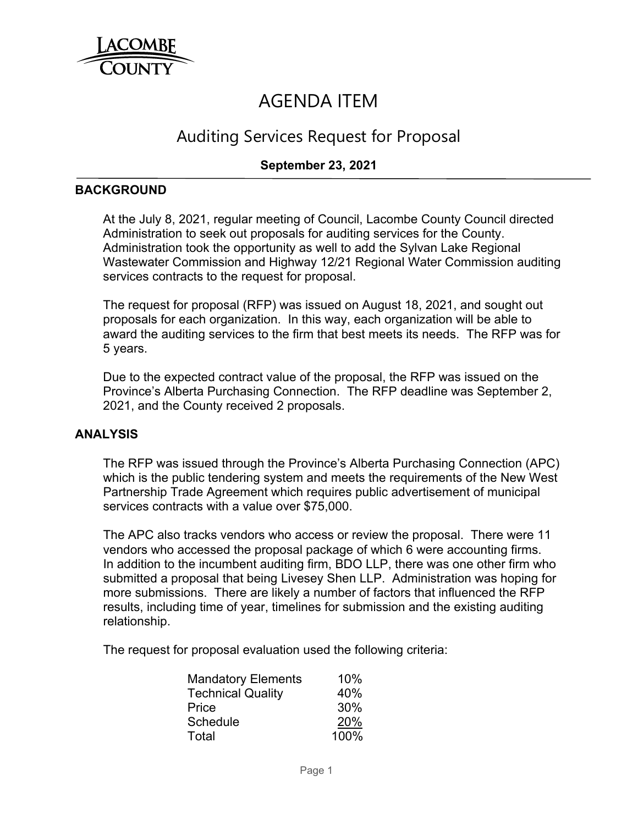

# AGENDA ITEM

# Auditing Services Request for Proposal

## **September 23, 2021**

#### **BACKGROUND**

At the July 8, 2021, regular meeting of Council, Lacombe County Council directed Administration to seek out proposals for auditing services for the County. Administration took the opportunity as well to add the Sylvan Lake Regional Wastewater Commission and Highway 12/21 Regional Water Commission auditing services contracts to the request for proposal.

The request for proposal (RFP) was issued on August 18, 2021, and sought out proposals for each organization. In this way, each organization will be able to award the auditing services to the firm that best meets its needs. The RFP was for 5 years.

Due to the expected contract value of the proposal, the RFP was issued on the Province's Alberta Purchasing Connection. The RFP deadline was September 2, 2021, and the County received 2 proposals.

#### **ANALYSIS**

The RFP was issued through the Province's Alberta Purchasing Connection (APC) which is the public tendering system and meets the requirements of the New West Partnership Trade Agreement which requires public advertisement of municipal services contracts with a value over \$75,000.

The APC also tracks vendors who access or review the proposal. There were 11 vendors who accessed the proposal package of which 6 were accounting firms. In addition to the incumbent auditing firm, BDO LLP, there was one other firm who submitted a proposal that being Livesey Shen LLP. Administration was hoping for more submissions. There are likely a number of factors that influenced the RFP results, including time of year, timelines for submission and the existing auditing relationship.

The request for proposal evaluation used the following criteria:

| <b>Mandatory Elements</b> | 10%  |
|---------------------------|------|
| <b>Technical Quality</b>  | 40%  |
| Price                     | 30%  |
| Schedule                  | 20%  |
| Total                     | 100% |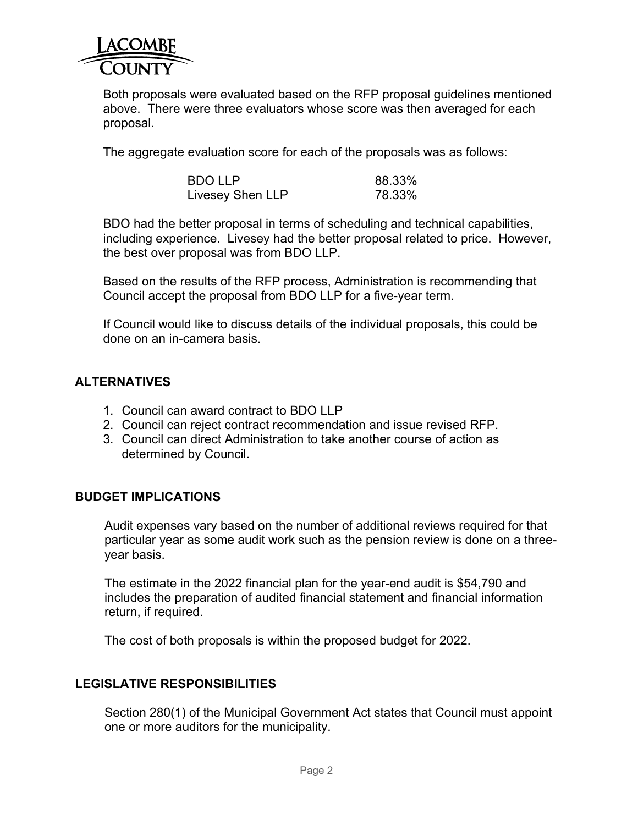

Both proposals were evaluated based on the RFP proposal guidelines mentioned above. There were three evaluators whose score was then averaged for each proposal.

The aggregate evaluation score for each of the proposals was as follows:

| <b>BDO LLP</b>   | 88.33% |
|------------------|--------|
| Livesey Shen LLP | 78.33% |

BDO had the better proposal in terms of scheduling and technical capabilities, including experience. Livesey had the better proposal related to price. However, the best over proposal was from BDO LLP.

Based on the results of the RFP process, Administration is recommending that Council accept the proposal from BDO LLP for a five-year term.

If Council would like to discuss details of the individual proposals, this could be done on an in-camera basis.

### **ALTERNATIVES**

- 1. Council can award contract to BDO LLP
- 2. Council can reject contract recommendation and issue revised RFP.
- 3. Council can direct Administration to take another course of action as determined by Council.

#### **BUDGET IMPLICATIONS**

Audit expenses vary based on the number of additional reviews required for that particular year as some audit work such as the pension review is done on a threeyear basis.

The estimate in the 2022 financial plan for the year-end audit is \$54,790 and includes the preparation of audited financial statement and financial information return, if required.

The cost of both proposals is within the proposed budget for 2022.

#### **LEGISLATIVE RESPONSIBILITIES**

Section 280(1) of the Municipal Government Act states that Council must appoint one or more auditors for the municipality.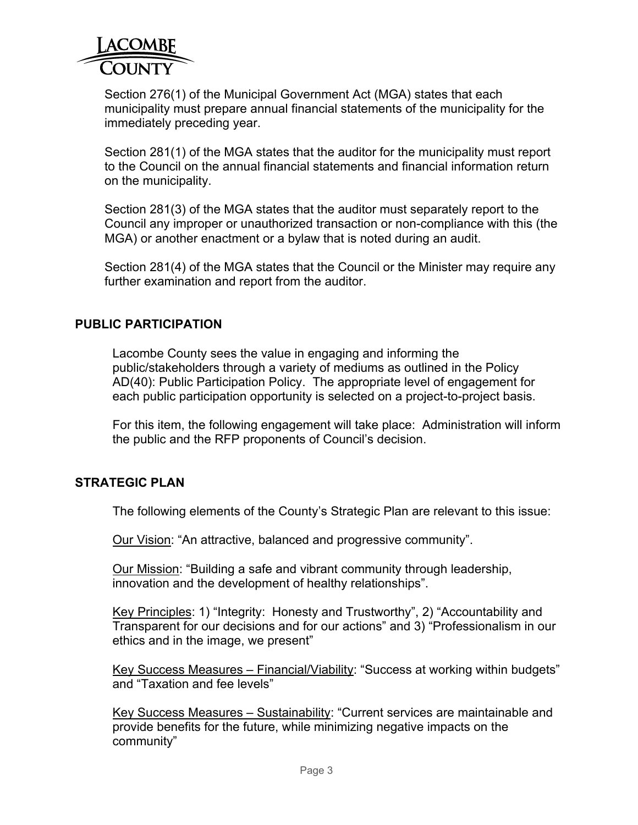

Section 276(1) of the Municipal Government Act (MGA) states that each municipality must prepare annual financial statements of the municipality for the immediately preceding year.

Section 281(1) of the MGA states that the auditor for the municipality must report to the Council on the annual financial statements and financial information return on the municipality.

Section 281(3) of the MGA states that the auditor must separately report to the Council any improper or unauthorized transaction or non-compliance with this (the MGA) or another enactment or a bylaw that is noted during an audit.

Section 281(4) of the MGA states that the Council or the Minister may require any further examination and report from the auditor.

#### **PUBLIC PARTICIPATION**

Lacombe County sees the value in engaging and informing the public/stakeholders through a variety of mediums as outlined in the Policy AD(40): Public Participation Policy. The appropriate level of engagement for each public participation opportunity is selected on a project-to-project basis.

For this item, the following engagement will take place: Administration will inform the public and the RFP proponents of Council's decision.

#### **STRATEGIC PLAN**

The following elements of the County's Strategic Plan are relevant to this issue:

Our Vision: "An attractive, balanced and progressive community".

Our Mission: "Building a safe and vibrant community through leadership, innovation and the development of healthy relationships".

Key Principles: 1) "Integrity: Honesty and Trustworthy", 2) "Accountability and Transparent for our decisions and for our actions" and 3) "Professionalism in our ethics and in the image, we present"

Key Success Measures – Financial/Viability: "Success at working within budgets" and "Taxation and fee levels"

Key Success Measures – Sustainability: "Current services are maintainable and provide benefits for the future, while minimizing negative impacts on the community"